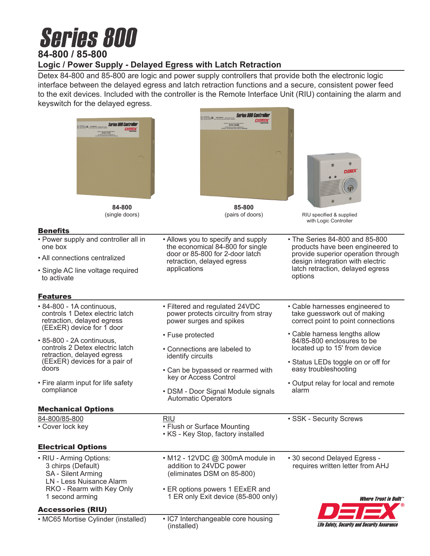# **Series 800 84-800 / 85-800**

### **Logic / Power Supply - Delayed Egress with Latch Retraction**

Detex 84-800 and 85-800 are logic and power supply controllers that provide both the electronic logic interface between the delayed egress and latch retraction functions and a secure, consistent power feed to the exit devices. Included with the controller is the Remote Interface Unit (RIU) containing the alarm and keyswitch for the delayed egress.

**Series 800 Controller** 

| <b>Series 800 Controller</b>                                                                                                         | بصطم<br>MODEL 83-800                                                                                       | DETEX                                                                                                                                                      |
|--------------------------------------------------------------------------------------------------------------------------------------|------------------------------------------------------------------------------------------------------------|------------------------------------------------------------------------------------------------------------------------------------------------------------|
| 84-800<br>(single doors)                                                                                                             | 85-800<br>(pairs of doors)                                                                                 | RIU specified & supplied                                                                                                                                   |
|                                                                                                                                      |                                                                                                            | with Logic Controller                                                                                                                                      |
| <b>Benefits</b><br>• Power supply and controller all in                                                                              | • Allows you to specify and supply                                                                         | • The Series 84-800 and 85-800                                                                                                                             |
| one box                                                                                                                              | the economical 84-800 for single<br>door or 85-800 for 2-door latch                                        | products have been engineered to<br>provide superior operation through                                                                                     |
| • All connections centralized                                                                                                        | retraction, delayed egress<br>applications                                                                 | design integration with electric<br>latch retraction, delayed egress                                                                                       |
| • Single AC line voltage required<br>to activate                                                                                     |                                                                                                            | options                                                                                                                                                    |
| <b>Features</b>                                                                                                                      |                                                                                                            |                                                                                                                                                            |
| • 84-800 - 1A continuous,<br>controls 1 Detex electric latch<br>retraction, delayed egress<br>(EExER) device for 1 door              | • Filtered and regulated 24VDC<br>power protects circuitry from stray<br>power surges and spikes           | • Cable harnesses engineered to<br>take guesswork out of making<br>correct point to point connections                                                      |
| • 85-800 - 2A continuous,<br>controls 2 Detex electric latch<br>retraction, delayed egress<br>(EExER) devices for a pair of<br>doors | • Fuse protected<br>• Connections are labeled to<br>identify circuits<br>• Can be bypassed or rearmed with | • Cable harness lengths allow<br>84/85-800 enclosures to be<br>located up to 15' from device<br>• Status LEDs toggle on or off for<br>easy troubleshooting |
| • Fire alarm input for life safety<br>compliance                                                                                     | key or Access Control<br>• DSM - Door Signal Module signals<br><b>Automatic Operators</b>                  | • Output relay for local and remote<br>alarm                                                                                                               |
| <b>Mechanical Options</b>                                                                                                            |                                                                                                            |                                                                                                                                                            |
| 84-800/85-800<br>• Cover lock key                                                                                                    | <b>RIU</b><br>• Flush or Surface Mounting<br>• KS - Key Stop, factory installed                            | · SSK - Security Screws                                                                                                                                    |
| <b>Electrical Options</b>                                                                                                            |                                                                                                            |                                                                                                                                                            |
| • RIU - Arming Options:<br>3 chirps (Default)<br><b>SA</b> - Silent Arming<br><b>LN - Less Nuisance Alarm</b>                        | • M12 - 12VDC @ 300mA module in<br>addition to 24VDC power<br>(eliminates DSM on 85-800)                   | • 30 second Delayed Egress -<br>requires written letter from AHJ                                                                                           |
| RKO - Rearm with Key Only<br>1 second arming                                                                                         | • ER options powers 1 EExER and<br>1 ER only Exit device (85-800 only)                                     | Where Trust is Built $\degree$                                                                                                                             |
| <b>Accessories (RIU)</b>                                                                                                             |                                                                                                            |                                                                                                                                                            |
| • MC65 Mortise Cylinder (installed)                                                                                                  | • IC7 Interchangeable core housing<br>(installed)                                                          | Life Safety, Security and Security Assurance                                                                                                               |